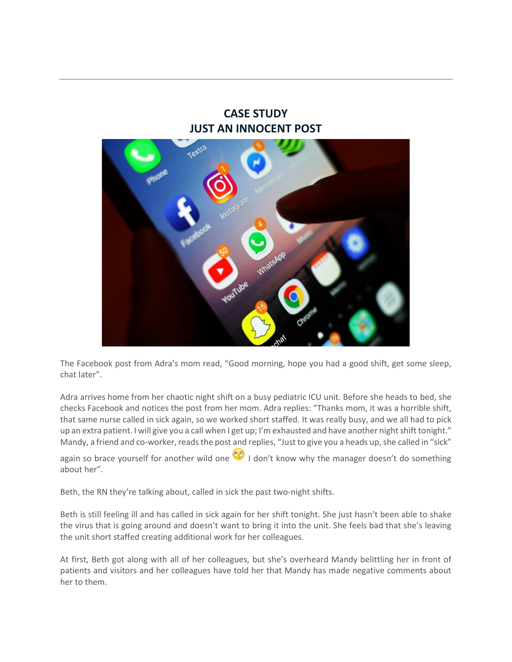# **CASE STUDY JUST AN INNOCENT POST**



The Facebook post from Adra's mom read, "Good morning, hope you had a good shift, get some sleep, chat later".

Adra arrives home from her chaotic night shift on a busy pediatric ICU unit. Before she heads to bed, she checks Facebook and notices the post from her mom. Adra replies: "Thanks mom, it was a horrible shift, that same nurse called in sick again, so we worked short staffed. It was really busy, and we all had to pick up an extra patient. I will give you a call when I get up; I'm exhausted and have another night shift tonight." Mandy, a friend and co-worker, reads the post and replies, "Just to give you a heads up, she called in "sick"

again so brace yourself for another wild one  $\mathbb{C}^3$  I don't know why the manager doesn't do something about her".

Beth, the RN they're talking about, called in sick the past two-night shifts.

Beth is still feeling ill and has called in sick again for her shift tonight. She just hasn't been able to shake the virus that is going around and doesn't want to bring it into the unit. She feels bad that she's leaving the unit short staffed creating additional work for her colleagues.

At first, Beth got along with all of her colleagues, but she's overheard Mandy belittling her in front of patients and visitors and her colleagues have told her that Mandy has made negative comments about her to them.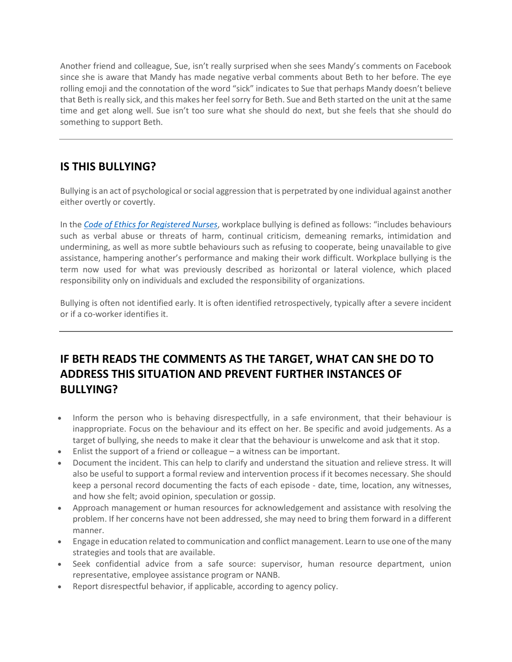Another friend and colleague, Sue, isn't really surprised when she sees Mandy's comments on Facebook since she is aware that Mandy has made negative verbal comments about Beth to her before. The eye rolling emoji and the connotation of the word "sick" indicates to Sue that perhaps Mandy doesn't believe that Beth is really sick, and this makes her feel sorry for Beth. Sue and Beth started on the unit at the same time and get along well. Sue isn't too sure what she should do next, but she feels that she should do something to support Beth.

### **IS THIS BULLYING?**

Bullying is an act of psychological or social aggression that is perpetrated by one individual against another either overtly or covertly.

In the *[Code of Ethics for Registered Nurses](https://www.cna-aiic.ca/-/media/cna/page-content/pdf-en/code-of-ethics-2017-edition-secure-interactive.pdf)*, workplace bullying is defined as follows: "includes behaviours such as verbal abuse or threats of harm, continual criticism, demeaning remarks, intimidation and undermining, as well as more subtle behaviours such as refusing to cooperate, being unavailable to give assistance, hampering another's performance and making their work difficult. Workplace bullying is the term now used for what was previously described as horizontal or lateral violence, which placed responsibility only on individuals and excluded the responsibility of organizations.

Bullying is often not identified early. It is often identified retrospectively, typically after a severe incident or if a co-worker identifies it.

### **IF BETH READS THE COMMENTS AS THE TARGET, WHAT CAN SHE DO TO ADDRESS THIS SITUATION AND PREVENT FURTHER INSTANCES OF BULLYING?**

- Inform the person who is behaving disrespectfully, in a safe environment, that their behaviour is inappropriate. Focus on the behaviour and its effect on her. Be specific and avoid judgements. As a target of bullying, she needs to make it clear that the behaviour is unwelcome and ask that it stop.
- Enlist the support of a friend or colleague  $-$  a witness can be important.
- Document the incident. This can help to clarify and understand the situation and relieve stress. It will also be useful to support a formal review and intervention process if it becomes necessary. She should keep a personal record documenting the facts of each episode - date, time, location, any witnesses, and how she felt; avoid opinion, speculation or gossip.
- Approach management or human resources for acknowledgement and assistance with resolving the problem. If her concerns have not been addressed, she may need to bring them forward in a different manner.
- Engage in education related to communication and conflict management. Learn to use one of the many strategies and tools that are available.
- Seek confidential advice from a safe source: supervisor, human resource department, union representative, employee assistance program or NANB.
- Report disrespectful behavior, if applicable, according to agency policy.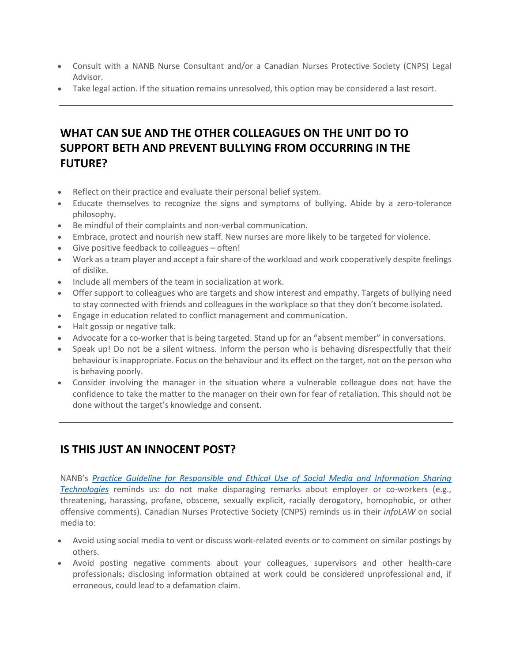- Consult with a NANB Nurse Consultant and/or a Canadian Nurses Protective Society (CNPS) Legal Advisor.
- Take legal action. If the situation remains unresolved, this option may be considered a last resort.

# **WHAT CAN SUE AND THE OTHER COLLEAGUES ON THE UNIT DO TO SUPPORT BETH AND PREVENT BULLYING FROM OCCURRING IN THE FUTURE?**

- Reflect on their practice and evaluate their personal belief system.
- Educate themselves to recognize the signs and symptoms of bullying. Abide by a zero-tolerance philosophy.
- Be mindful of their complaints and non-verbal communication.
- Embrace, protect and nourish new staff. New nurses are more likely to be targeted for violence.
- Give positive feedback to colleagues often!
- Work as a team player and accept a fair share of the workload and work cooperatively despite feelings of dislike.
- Include all members of the team in socialization at work.
- Offer support to colleagues who are targets and show interest and empathy. Targets of bullying need to stay connected with friends and colleagues in the workplace so that they don't become isolated.
- Engage in education related to conflict management and communication.
- Halt gossip or negative talk.
- Advocate for a co-worker that is being targeted. Stand up for an "absent member" in conversations.
- Speak up! Do not be a silent witness. Inform the person who is behaving disrespectfully that their behaviour is inappropriate. Focus on the behaviour and its effect on the target, not on the person who is behaving poorly.
- Consider involving the manager in the situation where a vulnerable colleague does not have the confidence to take the matter to the manager on their own for fear of retaliation. This should not be done without the target's knowledge and consent.

#### **IS THIS JUST AN INNOCENT POST?**

NANB's *[Practice Guideline for Responsible and Ethical Use of Social Media and Information Sharing](http://www.nanb.nb.ca/resources/results/search&keywords=Practice+Guideline+for+Responsible+and+Ethical+Use+of+Social+Media+and+Information+Sharing+Technologies+&category=/)  [Technologies](http://www.nanb.nb.ca/resources/results/search&keywords=Practice+Guideline+for+Responsible+and+Ethical+Use+of+Social+Media+and+Information+Sharing+Technologies+&category=/)* reminds us: do not make disparaging remarks about employer or co‐workers (e.g., threatening, harassing, profane, obscene, sexually explicit, racially derogatory, homophobic, or other offensive comments). Canadian Nurses Protective Society (CNPS) reminds us in their *infoLAW* on social media to:

- Avoid using social media to vent or discuss work-related events or to comment on similar postings by others.
- Avoid posting negative comments about your colleagues, supervisors and other health-care professionals; disclosing information obtained at work could be considered unprofessional and, if erroneous, could lead to a defamation claim.